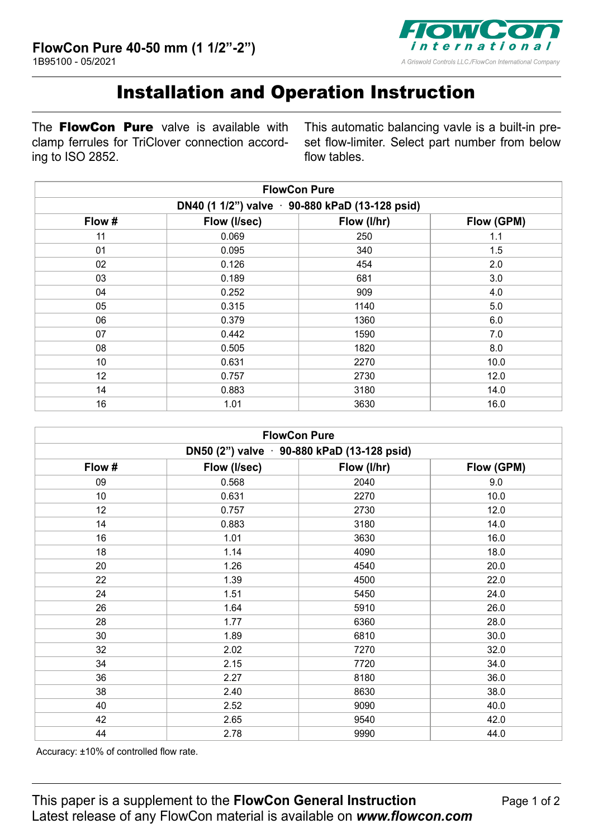

## Installation and Operation Instruction

The **FlowCon Pure** valve is available with clamp ferrules for TriClover connection according to ISO 2852.

This automatic balancing vavle is a built-in preset flow-limiter. Select part number from below flow tables.

| <b>FlowCon Pure</b><br>DN40 (1 1/2") valve 90-880 kPaD (13-128 psid) |       |      |      |  |
|----------------------------------------------------------------------|-------|------|------|--|
|                                                                      |       |      |      |  |
| 11                                                                   | 0.069 | 250  | 1.1  |  |
| 01                                                                   | 0.095 | 340  | 1.5  |  |
| 02                                                                   | 0.126 | 454  | 2.0  |  |
| 03                                                                   | 0.189 | 681  | 3.0  |  |
| 04                                                                   | 0.252 | 909  | 4.0  |  |
| 05                                                                   | 0.315 | 1140 | 5.0  |  |
| 06                                                                   | 0.379 | 1360 | 6.0  |  |
| 07                                                                   | 0.442 | 1590 | 7.0  |  |
| 08                                                                   | 0.505 | 1820 | 8.0  |  |
| 10                                                                   | 0.631 | 2270 | 10.0 |  |
| 12                                                                   | 0.757 | 2730 | 12.0 |  |
| 14                                                                   | 0.883 | 3180 | 14.0 |  |
| 16                                                                   | 1.01  | 3630 | 16.0 |  |

| <b>FlowCon Pure</b><br>DN50 (2") valve · 90-880 kPaD (13-128 psid) |       |      |      |  |
|--------------------------------------------------------------------|-------|------|------|--|
|                                                                    |       |      |      |  |
| 09                                                                 | 0.568 | 2040 | 9.0  |  |
| 10                                                                 | 0.631 | 2270 | 10.0 |  |
| 12                                                                 | 0.757 | 2730 | 12.0 |  |
| 14                                                                 | 0.883 | 3180 | 14.0 |  |
| 16                                                                 | 1.01  | 3630 | 16.0 |  |
| 18                                                                 | 1.14  | 4090 | 18.0 |  |
| 20                                                                 | 1.26  | 4540 | 20.0 |  |
| 22                                                                 | 1.39  | 4500 | 22.0 |  |
| 24                                                                 | 1.51  | 5450 | 24.0 |  |
| 26                                                                 | 1.64  | 5910 | 26.0 |  |
| 28                                                                 | 1.77  | 6360 | 28.0 |  |
| 30                                                                 | 1.89  | 6810 | 30.0 |  |
| 32                                                                 | 2.02  | 7270 | 32.0 |  |
| 34                                                                 | 2.15  | 7720 | 34.0 |  |
| 36                                                                 | 2.27  | 8180 | 36.0 |  |
| 38                                                                 | 2.40  | 8630 | 38.0 |  |
| 40                                                                 | 2.52  | 9090 | 40.0 |  |
| 42                                                                 | 2.65  | 9540 | 42.0 |  |
| 44                                                                 | 2.78  | 9990 | 44.0 |  |

Accuracy: ±10% of controlled flow rate.